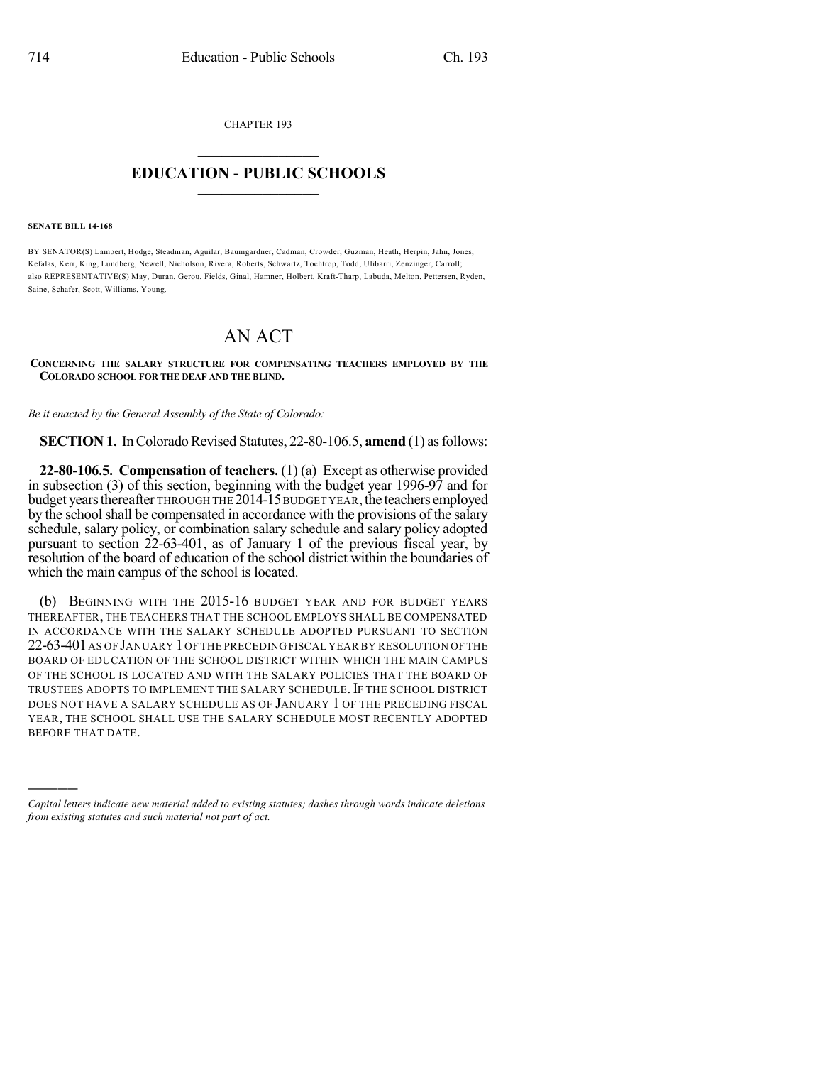CHAPTER 193  $\mathcal{L}_\text{max}$  . The set of the set of the set of the set of the set of the set of the set of the set of the set of the set of the set of the set of the set of the set of the set of the set of the set of the set of the set

## **EDUCATION - PUBLIC SCHOOLS**  $\_$   $\_$   $\_$   $\_$   $\_$   $\_$   $\_$   $\_$   $\_$

## **SENATE BILL 14-168**

)))))

BY SENATOR(S) Lambert, Hodge, Steadman, Aguilar, Baumgardner, Cadman, Crowder, Guzman, Heath, Herpin, Jahn, Jones, Kefalas, Kerr, King, Lundberg, Newell, Nicholson, Rivera, Roberts, Schwartz, Tochtrop, Todd, Ulibarri, Zenzinger, Carroll; also REPRESENTATIVE(S) May, Duran, Gerou, Fields, Ginal, Hamner, Holbert, Kraft-Tharp, Labuda, Melton, Pettersen, Ryden, Saine, Schafer, Scott, Williams, Young.

## AN ACT

## **CONCERNING THE SALARY STRUCTURE FOR COMPENSATING TEACHERS EMPLOYED BY THE COLORADO SCHOOL FOR THE DEAF AND THE BLIND.**

*Be it enacted by the General Assembly of the State of Colorado:*

**SECTION 1.** In Colorado Revised Statutes, 22-80-106.5, **amend** (1) as follows:

**22-80-106.5. Compensation of teachers.** (1) (a) Except as otherwise provided in subsection (3) of this section, beginning with the budget year 1996-97 and for budget years thereafter THROUGH THE 2014-15 BUDGET YEAR, the teachers employed by the school shall be compensated in accordance with the provisions of the salary schedule, salary policy, or combination salary schedule and salary policy adopted pursuant to section 22-63-401, as of January 1 of the previous fiscal year, by resolution of the board of education of the school district within the boundaries of which the main campus of the school is located.

(b) BEGINNING WITH THE 2015-16 BUDGET YEAR AND FOR BUDGET YEARS THEREAFTER, THE TEACHERS THAT THE SCHOOL EMPLOYS SHALL BE COMPENSATED IN ACCORDANCE WITH THE SALARY SCHEDULE ADOPTED PURSUANT TO SECTION 22-63-401 AS OF JANUARY 1 OF THE PRECEDING FISCAL YEAR BY RESOLUTION OF THE BOARD OF EDUCATION OF THE SCHOOL DISTRICT WITHIN WHICH THE MAIN CAMPUS OF THE SCHOOL IS LOCATED AND WITH THE SALARY POLICIES THAT THE BOARD OF TRUSTEES ADOPTS TO IMPLEMENT THE SALARY SCHEDULE. IF THE SCHOOL DISTRICT DOES NOT HAVE A SALARY SCHEDULE AS OF JANUARY 1 OF THE PRECEDING FISCAL YEAR, THE SCHOOL SHALL USE THE SALARY SCHEDULE MOST RECENTLY ADOPTED BEFORE THAT DATE.

*Capital letters indicate new material added to existing statutes; dashes through words indicate deletions from existing statutes and such material not part of act.*